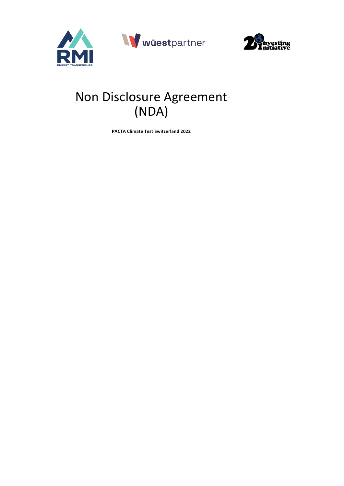



# Non Disclosure Agreement (NDA)

**PACTA Climate Test Switzerland 2022**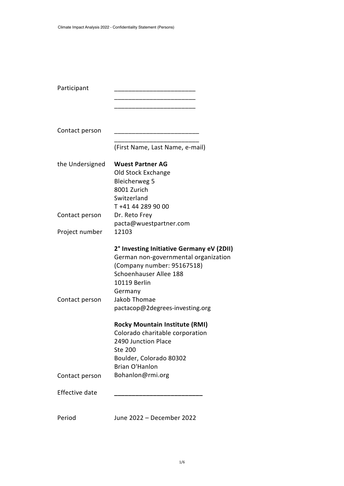| Participant     |                                                                                                                                                                                                                                |
|-----------------|--------------------------------------------------------------------------------------------------------------------------------------------------------------------------------------------------------------------------------|
|                 |                                                                                                                                                                                                                                |
| Contact person  |                                                                                                                                                                                                                                |
|                 | (First Name, Last Name, e-mail)                                                                                                                                                                                                |
| the Undersigned | <b>Wuest Partner AG</b><br>Old Stock Exchange<br><b>Bleicherweg 5</b>                                                                                                                                                          |
|                 | 8001 Zurich<br>Switzerland<br>T+41 44 289 90 00                                                                                                                                                                                |
| Contact person  | Dr. Reto Frey<br>pacta@wuestpartner.com                                                                                                                                                                                        |
| Project number  | 12103                                                                                                                                                                                                                          |
| Contact person  | 2° Investing Initiative Germany eV (2DII)<br>German non-governmental organization<br>(Company number: 95167518)<br>Schoenhauser Allee 188<br><b>10119 Berlin</b><br>Germany<br>Jakob Thomae<br>pactacop@2degrees-investing.org |
|                 | <b>Rocky Mountain Institute (RMI)</b><br>Colorado charitable corporation<br>2490 Junction Place<br>Ste 200<br>Boulder, Colorado 80302<br>Brian O'Hanlon                                                                        |
| Contact person  | Bohanlon@rmi.org                                                                                                                                                                                                               |
| Effective date  |                                                                                                                                                                                                                                |
| Period          | June 2022 - December 2022                                                                                                                                                                                                      |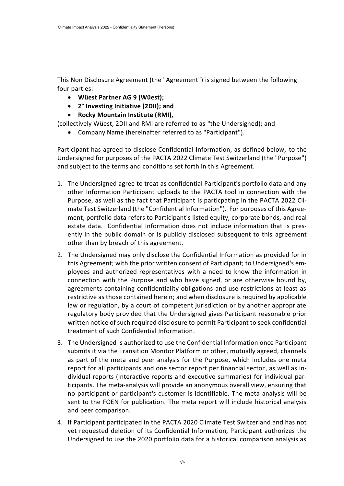This Non Disclosure Agreement (the "Agreement") is signed between the following four parties:

- **Wüest Partner AG 9 (Wüest);**
- **2° Investing Initiative (2DII); and**
- **Rocky Mountain Institute (RMI),**

(collectively Wüest, 2DII and RMI are referred to as "the Undersigned); and

• Company Name (hereinafter referred to as "Participant").

Participant has agreed to disclose Confidential Information, as defined below, to the Undersigned for purposes of the PACTA 2022 Climate Test Switzerland (the "Purpose") and subject to the terms and conditions set forth in this Agreement.

- 1. The Undersigned agree to treat as confidential Participant's portfolio data and any other Information Participant uploads to the PACTA tool in connection with the Purpose, as well as the fact that Participant is particpating in the PACTA 2022 Climate Test Switzerland (the "Confidential Information"). For purposes of this Agreement, portfolio data refers to Participant's listed equity, corporate bonds, and real estate data. Confidential Information does not include information that is presently in the public domain or is publicly disclosed subsequent to this agreement other than by breach of this agreement.
- 2. The Undersigned may only disclose the Confidential Information as provided for in this Agreement; with the prior written consent of Participant; to Undersigned's employees and authorized representatives with a need to know the information in connection with the Purpose and who have signed, or are otherwise bound by, agreements containing confidentiality obligations and use restrictions at least as restrictive as those contained herein; and when disclosure is required by applicable law or regulation, by a court of competent jurisdiction or by another appropriate regulatory body provided that the Undersigned gives Participant reasonable prior written notice of such required disclosure to permit Participant to seek confidential treatment of such Confidential Information.
- 3. The Undersigned is authorized to use the Confidential Information once Participant submits it via the Transition Monitor Platform or other, mutually agreed, channels as part of the meta and peer analysis for the Purpose, which includes one meta report for all participants and one sector report per financial sector, as well as individual reports (Interactive reports and executive summaries) for individual participants. The meta-analysis will provide an anonymous overall view, ensuring that no participant or participant's customer is identifiable. The meta-analysis will be sent to the FOEN for publication. The meta report will include historical analysis and peer comparison.
- 4. If Participant participated in the PACTA 2020 Climate Test Switzerland and has not yet requested deletion of its Confidential Information, Participant authorizes the Undersigned to use the 2020 portfolio data for a historical comparison analysis as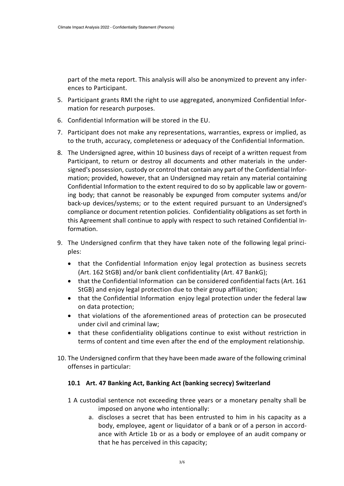part of the meta report. This analysis will also be anonymized to prevent any inferences to Participant.

- 5. Participant grants RMI the right to use aggregated, anonymized Confidential Information for research purposes.
- 6. Confidential Information will be stored in the EU.
- 7. Participant does not make any representations, warranties, express or implied, as to the truth, accuracy, completeness or adequacy of the Confidential Information.
- 8. The Undersigned agree, within 10 business days of receipt of a written request from Participant, to return or destroy all documents and other materials in the undersigned's possession, custody or control that contain any part of the Confidential Information; provided, however, that an Undersigned may retain any material containing Confidential Information to the extent required to do so by applicable law or governing body; that cannot be reasonably be expunged from computer systems and/or back-up devices/systems; or to the extent required pursuant to an Undersigned's compliance or document retention policies. Confidentiality obligations as set forth in this Agreement shall continue to apply with respect to such retained Confidential Information.
- 9. The Undersigned confirm that they have taken note of the following legal principles:
	- that the Confidential Information enjoy legal protection as business secrets (Art. 162 StGB) and/or bank client confidentiality (Art. 47 BankG);
	- that the Confidential Information can be considered confidential facts (Art. 161 StGB) and enjoy legal protection due to their group affiliation;
	- that the Confidential Information enjoy legal protection under the federal law on data protection;
	- that violations of the aforementioned areas of protection can be prosecuted under civil and criminal law;
	- that these confidentiality obligations continue to exist without restriction in terms of content and time even after the end of the employment relationship.
- 10. The Undersigned confirm that they have been made aware of the following criminal offenses in particular:

## **10.1 Art. 47 Banking Act, Banking Act (banking secrecy) Switzerland**

- 1 A custodial sentence not exceeding three years or a monetary penalty shall be imposed on anyone who intentionally:
	- a. discloses a secret that has been entrusted to him in his capacity as a body, employee, agent or liquidator of a bank or of a person in accordance with Article 1b or as a body or employee of an audit company or that he has perceived in this capacity;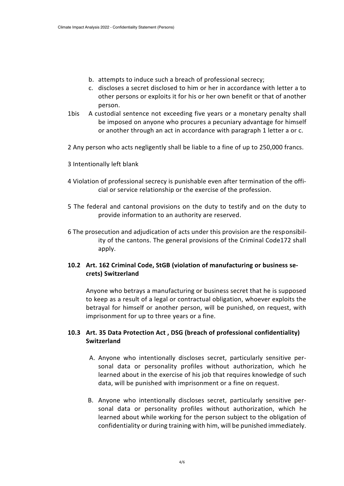- b. attempts to induce such a breach of professional secrecy;
- c. discloses a secret disclosed to him or her in accordance with letter a to other persons or exploits it for his or her own benefit or that of another person.
- 1bis A custodial sentence not exceeding five years or a monetary penalty shall be imposed on anyone who procures a pecuniary advantage for himself or another through an act in accordance with paragraph 1 letter a or c.
- 2 Any person who acts negligently shall be liable to a fine of up to 250,000 francs.
- 3 Intentionally left blank
- 4 Violation of professional secrecy is punishable even after termination of the official or service relationship or the exercise of the profession.
- 5 The federal and cantonal provisions on the duty to testify and on the duty to provide information to an authority are reserved.
- 6 The prosecution and adjudication of acts under this provision are the responsibility of the cantons. The general provisions of the Criminal Code172 shall apply.

## **10.2 Art. 162 Criminal Code, StGB (violation of manufacturing or business secrets) Switzerland**

Anyone who betrays a manufacturing or business secret that he is supposed to keep as a result of a legal or contractual obligation, whoever exploits the betrayal for himself or another person, will be punished, on request, with imprisonment for up to three years or a fine.

#### **10.3 Art. 35 Data Protection Act , DSG (breach of professional confidentiality) Switzerland**

- A. Anyone who intentionally discloses secret, particularly sensitive personal data or personality profiles without authorization, which he learned about in the exercise of his job that requires knowledge of such data, will be punished with imprisonment or a fine on request.
- B. Anyone who intentionally discloses secret, particularly sensitive personal data or personality profiles without authorization, which he learned about while working for the person subject to the obligation of confidentiality or during training with him, will be punished immediately.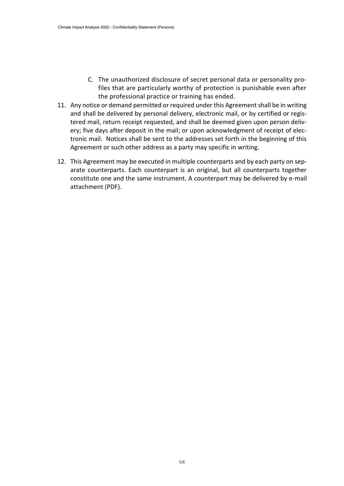- C. The unauthorized disclosure of secret personal data or personality profiles that are particularly worthy of protection is punishable even after the professional practice or training has ended.
- 11. Any notice or demand permitted or required under this Agreement shall be in writing and shall be delivered by personal delivery, electronic mail, or by certified or registered mail, return receipt requested, and shall be deemed given upon person delivery; five days after deposit in the mail; or upon acknowledgment of receipt of electronic mail. Notices shall be sent to the addresses set forth in the beginning of this Agreement or such other address as a party may specific in writing.
- 12. This Agreement may be executed in multiple counterparts and by each party on separate counterparts. Each counterpart is an original, but all counterparts together constitute one and the same instrument. A counterpart may be delivered by e-mail attachment (PDF).